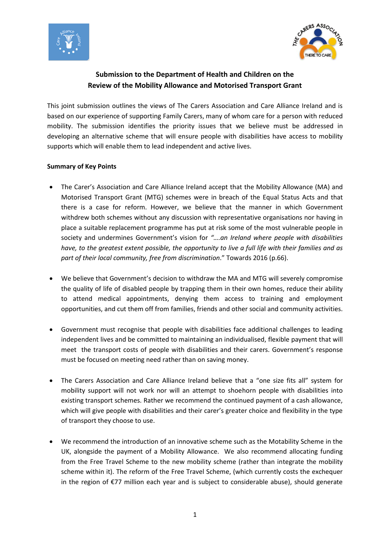



# **Submission to the Department of Health and Children on the Review of the Mobility Allowance and Motorised Transport Grant**

This joint submission outlines the views of The Carers Association and Care Alliance Ireland and is based on our experience of supporting Family Carers, many of whom care for a person with reduced mobility. The submission identifies the priority issues that we believe must be addressed in developing an alternative scheme that will ensure people with disabilities have access to mobility supports which will enable them to lead independent and active lives.

### **Summary of Key Points**

- The Carer's Association and Care Alliance Ireland accept that the Mobility Allowance (MA) and Motorised Transport Grant (MTG) schemes were in breach of the Equal Status Acts and that there is a case for reform. However, we believe that the manner in which Government withdrew both schemes without any discussion with representative organisations nor having in place a suitable replacement programme has put at risk some of the most vulnerable people in society and undermines Government's vision for *"….an Ireland where people with disabilities have, to the greatest extent possible, the opportunity to live a full life with their families and as part of their local community, free from discrimination*." Towards 2016 (p.66).
- We believe that Government's decision to withdraw the MA and MTG will severely compromise the quality of life of disabled people by trapping them in their own homes, reduce their ability to attend medical appointments, denying them access to training and employment opportunities, and cut them off from families, friends and other social and community activities.
- Government must recognise that people with disabilities face additional challenges to leading independent lives and be committed to maintaining an individualised, flexible payment that will meet the transport costs of people with disabilities and their carers. Government's response must be focused on meeting need rather than on saving money.
- The Carers Association and Care Alliance Ireland believe that a "one size fits all" system for mobility support will not work nor will an attempt to shoehorn people with disabilities into existing transport schemes. Rather we recommend the continued payment of a cash allowance, which will give people with disabilities and their carer's greater choice and flexibility in the type of transport they choose to use.
- We recommend the introduction of an innovative scheme such as the Motability Scheme in the UK, alongside the payment of a Mobility Allowance. We also recommend allocating funding from the Free Travel Scheme to the new mobility scheme (rather than integrate the mobility scheme within it). The reform of the Free Travel Scheme, (which currently costs the exchequer in the region of €77 million each year and is subject to considerable abuse), should generate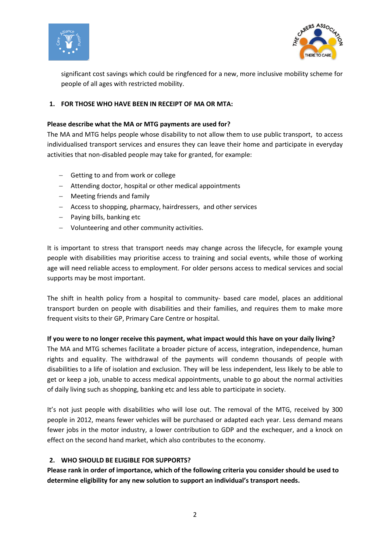



significant cost savings which could be ringfenced for a new, more inclusive mobility scheme for people of all ages with restricted mobility.

### **1. FOR THOSE WHO HAVE BEEN IN RECEIPT OF MA OR MTA:**

#### **Please describe what the MA or MTG payments are used for?**

The MA and MTG helps people whose disability to not allow them to use public transport, to access individualised transport services and ensures they can leave their home and participate in everyday activities that non-disabled people may take for granted, for example:

- Getting to and from work or college
- Attending doctor, hospital or other medical appointments
- Meeting friends and family
- Access to shopping, pharmacy, hairdressers, and other services
- $-$  Paying bills, banking etc
- Volunteering and other community activities.

It is important to stress that transport needs may change across the lifecycle, for example young people with disabilities may prioritise access to training and social events, while those of working age will need reliable access to employment. For older persons access to medical services and social supports may be most important.

The shift in health policy from a hospital to community- based care model, places an additional transport burden on people with disabilities and their families, and requires them to make more frequent visits to their GP, Primary Care Centre or hospital.

### **If you were to no longer receive this payment, what impact would this have on your daily living?**

The MA and MTG schemes facilitate a broader picture of access, integration, independence, human rights and equality. The withdrawal of the payments will condemn thousands of people with disabilities to a life of isolation and exclusion. They will be less independent, less likely to be able to get or keep a job, unable to access medical appointments, unable to go about the normal activities of daily living such as shopping, banking etc and less able to participate in society.

It's not just people with disabilities who will lose out. The removal of the MTG, received by 300 people in 2012, means fewer vehicles will be purchased or adapted each year. Less demand means fewer jobs in the motor industry, a lower contribution to GDP and the exchequer, and a knock on effect on the second hand market, which also contributes to the economy.

### **2. WHO SHOULD BE ELIGIBLE FOR SUPPORTS?**

**Please rank in order of importance, which of the following criteria you consider should be used to determine eligibility for any new solution to support an individual's transport needs.**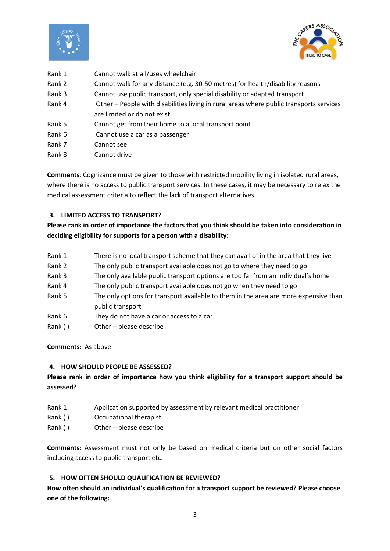



| Rank 1 | Cannot walk at all/uses wheelchair                                                      |
|--------|-----------------------------------------------------------------------------------------|
| Rank 2 | Cannot walk for any distance (e.g. 30-50 metres) for health/disability reasons          |
| Rank 3 | Cannot use public transport, only special disability or adapted transport               |
| Rank 4 | Other - People with disabilities living in rural areas where public transports services |
|        | are limited or do not exist.                                                            |
| Rank 5 | Cannot get from their home to a local transport point                                   |
| Rank 6 | Cannot use a car as a passenger                                                         |
| Rank 7 | Cannot see                                                                              |
| Rank 8 | Cannot drive                                                                            |

**Comments**: Cognizance must be given to those with restricted mobility living in isolated rural areas, where there is no access to public transport services. In these cases, it may be necessary to relax the medical assessment criteria to reflect the lack of transport alternatives.

### **3. LIMITED ACCESS TO TRANSPORT?**

## **Please rank in order of importance the factors that you think should be taken into consideration in deciding eligibility for supports for a person with a disability:**

- Rank 1 There is no local transport scheme that they can avail of in the area that they live
- Rank 2 The only public transport available does not go to where they need to go
- Rank 3 The only available public transport options are too far from an individual's home
- Rank 4 The only public transport available does not go when they need to go
- Rank 5 The only options for transport available to them in the area are more expensive than public transport
- Rank 6 They do not have a car or access to a car
- Rank ( ) Other please describe

**Comments:** As above.

### **4. HOW SHOULD PEOPLE BE ASSESSED?**

## **Please rank in order of importance how you think eligibility for a transport support should be assessed?**

- Rank 1 Application supported by assessment by relevant medical practitioner
- Rank ( ) Occupational therapist
- Rank ( ) Other please describe

**Comments:** Assessment must not only be based on medical criteria but on other social factors including access to public transport etc.

#### **5. HOW OFTEN SHOULD QUALIFICATION BE REVIEWED?**

**How often should an individual's qualification for a transport support be reviewed? Please choose one of the following:**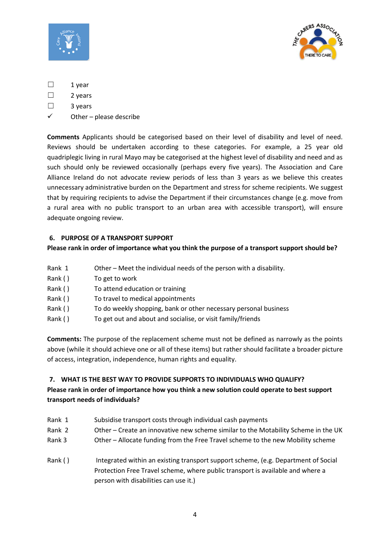



- ☐ 1 year
- ☐ 2 years
- ☐ 3 years
- $\checkmark$  Other please describe

**Comments** Applicants should be categorised based on their level of disability and level of need. Reviews should be undertaken according to these categories. For example, a 25 year old quadriplegic living in rural Mayo may be categorised at the highest level of disability and need and as such should only be reviewed occasionally (perhaps every five years). The Association and Care Alliance Ireland do not advocate review periods of less than 3 years as we believe this creates unnecessary administrative burden on the Department and stress for scheme recipients. We suggest that by requiring recipients to advise the Department if their circumstances change (e.g. move from a rural area with no public transport to an urban area with accessible transport), will ensure adequate ongoing review.

## **6. PURPOSE OF A TRANSPORT SUPPORT**

### **Please rank in order of importance what you think the purpose of a transport support should be?**

- Rank 1 Other Meet the individual needs of the person with a disability.
- Rank ( ) To get to work
- Rank ( ) To attend education or training
- Rank ( ) To travel to medical appointments
- Rank () To do weekly shopping, bank or other necessary personal business
- Rank () To get out and about and socialise, or visit family/friends

**Comments:** The purpose of the replacement scheme must not be defined as narrowly as the points above (while it should achieve one or all of these items) but rather should facilitate a broader picture of access, integration, independence, human rights and equality.

### **7. WHAT IS THE BEST WAY TO PROVIDE SUPPORTS TO INDIVIDUALS WHO QUALIFY?**

# **Please rank in order of importance how you think a new solution could operate to best support transport needs of individuals?**

- Rank 1 Subsidise transport costs through individual cash payments Rank 2 Other – Create an innovative new scheme similar to the Motability Scheme in the UK Rank 3 Other – Allocate funding from the Free Travel scheme to the new Mobility scheme
- Rank () Integrated within an existing transport support scheme, (e.g. Department of Social Protection Free Travel scheme, where public transport is available and where a person with disabilities can use it.)